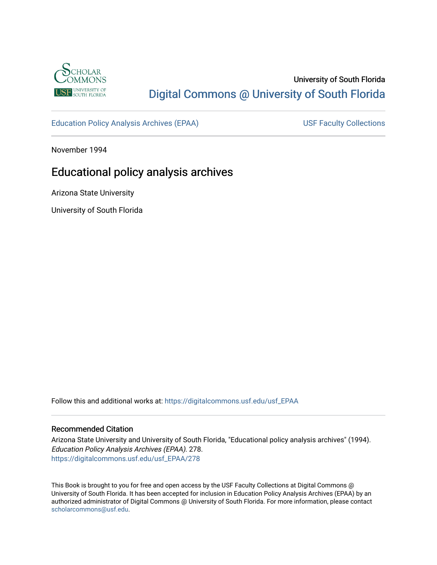

# University of South Florida [Digital Commons @ University of South Florida](https://digitalcommons.usf.edu/)

[Education Policy Analysis Archives \(EPAA\)](https://digitalcommons.usf.edu/usf_EPAA) USF Faculty Collections

November 1994

# Educational policy analysis archives

Arizona State University

University of South Florida

Follow this and additional works at: [https://digitalcommons.usf.edu/usf\\_EPAA](https://digitalcommons.usf.edu/usf_EPAA?utm_source=digitalcommons.usf.edu%2Fusf_EPAA%2F278&utm_medium=PDF&utm_campaign=PDFCoverPages)

#### Recommended Citation

Arizona State University and University of South Florida, "Educational policy analysis archives" (1994). Education Policy Analysis Archives (EPAA). 278. [https://digitalcommons.usf.edu/usf\\_EPAA/278](https://digitalcommons.usf.edu/usf_EPAA/278?utm_source=digitalcommons.usf.edu%2Fusf_EPAA%2F278&utm_medium=PDF&utm_campaign=PDFCoverPages)

This Book is brought to you for free and open access by the USF Faculty Collections at Digital Commons @ University of South Florida. It has been accepted for inclusion in Education Policy Analysis Archives (EPAA) by an authorized administrator of Digital Commons @ University of South Florida. For more information, please contact [scholarcommons@usf.edu.](mailto:scholarcommons@usf.edu)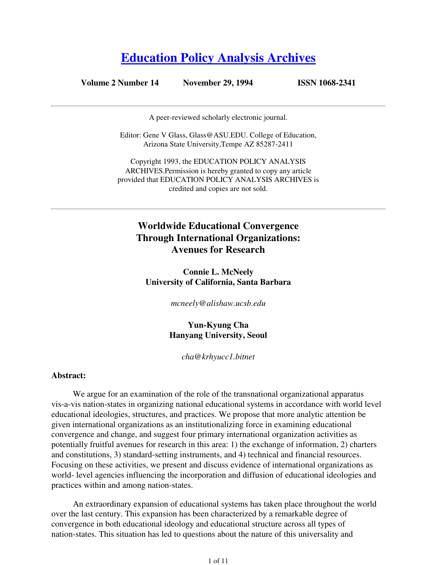# **Education Policy Analysis Archives**

## **Volume 2 Number 14 November 29, 1994 ISSN 1068-2341**

A peer-reviewed scholarly electronic journal.

Editor: Gene V Glass, Glass@ASU.EDU. College of Education, Arizona State University,Tempe AZ 85287-2411

Copyright 1993, the EDUCATION POLICY ANALYSIS ARCHIVES.Permission is hereby granted to copy any article provided that EDUCATION POLICY ANALYSIS ARCHIVES is credited and copies are not sold.

# **Worldwide Educational Convergence Through International Organizations: Avenues for Research**

**Connie L. McNeely University of California, Santa Barbara**

*mcneely@alishaw.ucsb.edu* 

**Yun-Kyung Cha Hanyang University, Seoul**

*cha@krhyucc1.bitnet*

#### **Abstract:**

We argue for an examination of the role of the transnational organizational apparatus vis-a-vis nation-states in organizing national educational systems in accordance with world level educational ideologies, structures, and practices. We propose that more analytic attention be given international organizations as an institutionalizing force in examining educational convergence and change, and suggest four primary international organization activities as potentially fruitful avenues for research in this area: 1) the exchange of information, 2) charters and constitutions, 3) standard-setting instruments, and 4) technical and financial resources. Focusing on these activities, we present and discuss evidence of international organizations as world- level agencies influencing the incorporation and diffusion of educational ideologies and practices within and among nation-states.

An extraordinary expansion of educational systems has taken place throughout the world over the last century. This expansion has been characterized by a remarkable degree of convergence in both educational ideology and educational structure across all types of nation-states. This situation has led to questions about the nature of this universality and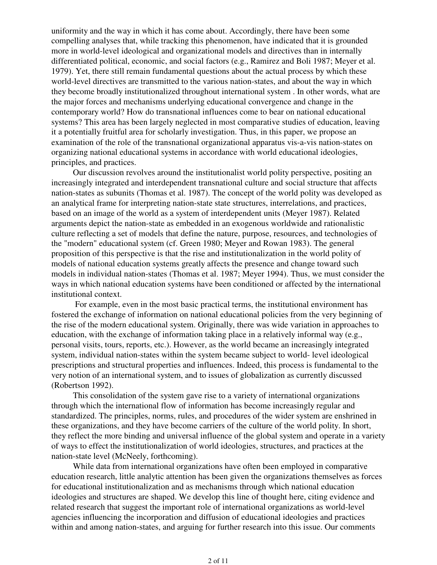uniformity and the way in which it has come about. Accordingly, there have been some compelling analyses that, while tracking this phenomenon, have indicated that it is grounded more in world-level ideological and organizational models and directives than in internally differentiated political, economic, and social factors (e.g., Ramirez and Boli 1987; Meyer et al. 1979). Yet, there still remain fundamental questions about the actual process by which these world-level directives are transmitted to the various nation-states, and about the way in which they become broadly institutionalized throughout international system . In other words, what are the major forces and mechanisms underlying educational convergence and change in the contemporary world? How do transnational influences come to bear on national educational systems? This area has been largely neglected in most comparative studies of education, leaving it a potentially fruitful area for scholarly investigation. Thus, in this paper, we propose an examination of the role of the transnational organizational apparatus vis-a-vis nation-states on organizing national educational systems in accordance with world educational ideologies, principles, and practices.

Our discussion revolves around the institutionalist world polity perspective, positing an increasingly integrated and interdependent transnational culture and social structure that affects nation-states as subunits (Thomas et al. 1987). The concept of the world polity was developed as an analytical frame for interpreting nation-state state structures, interrelations, and practices, based on an image of the world as a system of interdependent units (Meyer 1987). Related arguments depict the nation-state as embedded in an exogenous worldwide and rationalistic culture reflecting a set of models that define the nature, purpose, resources, and technologies of the "modern" educational system (cf. Green 1980; Meyer and Rowan 1983). The general proposition of this perspective is that the rise and institutionalization in the world polity of models of national education systems greatly affects the presence and change toward such models in individual nation-states (Thomas et al. 1987; Meyer 1994). Thus, we must consider the ways in which national education systems have been conditioned or affected by the international institutional context.

 For example, even in the most basic practical terms, the institutional environment has fostered the exchange of information on national educational policies from the very beginning of the rise of the modern educational system. Originally, there was wide variation in approaches to education, with the exchange of information taking place in a relatively informal way (e.g., personal visits, tours, reports, etc.). However, as the world became an increasingly integrated system, individual nation-states within the system became subject to world- level ideological prescriptions and structural properties and influences. Indeed, this process is fundamental to the very notion of an international system, and to issues of globalization as currently discussed (Robertson 1992).

This consolidation of the system gave rise to a variety of international organizations through which the international flow of information has become increasingly regular and standardized. The principles, norms, rules, and procedures of the wider system are enshrined in these organizations, and they have become carriers of the culture of the world polity. In short, they reflect the more binding and universal influence of the global system and operate in a variety of ways to effect the institutionalization of world ideologies, structures, and practices at the nation-state level (McNeely, forthcoming).

While data from international organizations have often been employed in comparative education research, little analytic attention has been given the organizations themselves as forces for educational institutionalization and as mechanisms through which national education ideologies and structures are shaped. We develop this line of thought here, citing evidence and related research that suggest the important role of international organizations as world-level agencies influencing the incorporation and diffusion of educational ideologies and practices within and among nation-states, and arguing for further research into this issue. Our comments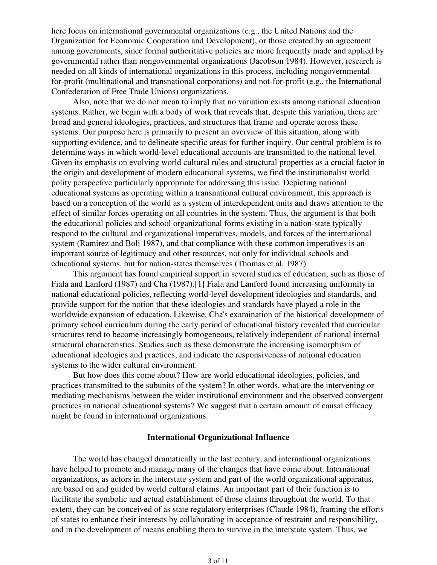here focus on international governmental organizations (e.g., the United Nations and the Organization for Economic Cooperation and Development), or those created by an agreement among governments, since formal authoritative policies are more frequently made and applied by governmental rather than nongovernmental organizations (Jacobson 1984). However, research is needed on all kinds of international organizations in this process, including nongovernmental for-profit (multinational and transnational corporations) and not-for-profit (e.g., the International Confederation of Free Trade Unions) organizations.

Also, note that we do not mean to imply that no variation exists among national education systems. Rather, we begin with a body of work that reveals that, despite this variation, there are broad and general ideologies, practices, and structures that frame and operate across these systems. Our purpose here is primarily to present an overview of this situation, along with supporting evidence, and to delineate specific areas for further inquiry. Our central problem is to determine ways in which world-level educational accounts are transmitted to the national level. Given its emphasis on evolving world cultural rules and structural properties as a crucial factor in the origin and development of modern educational systems, we find the institutionalist world polity perspective particularly appropriate for addressing this issue. Depicting national educational systems as operating within a transnational cultural environment, this approach is based on a conception of the world as a system of interdependent units and draws attention to the effect of similar forces operating on all countries in the system. Thus, the argument is that both the educational policies and school organizational forms existing in a nation-state typically respond to the cultural and organizational imperatives, models, and forces of the international system (Ramirez and Boli 1987), and that compliance with these common imperatives is an important source of legitimacy and other resources, not only for individual schools and educational systems, but for nation-states themselves (Thomas et al. 1987).

This argument has found empirical support in several studies of education, such as those of Fiala and Lanford (1987) and Cha (1987).[1] Fiala and Lanford found increasing uniformity in national educational policies, reflecting world-level development ideologies and standards, and provide support for the notion that these ideologies and standards have played a role in the worldwide expansion of education. Likewise, Cha's examination of the historical development of primary school curriculum during the early period of educational history revealed that curricular structures tend to become increasingly homogeneous, relatively independent of national internal structural characteristics. Studies such as these demonstrate the increasing isomorphism of educational ideologies and practices, and indicate the responsiveness of national education systems to the wider cultural environment.

But how does this come about? How are world educational ideologies, policies, and practices transmitted to the subunits of the system? In other words, what are the intervening or mediating mechanisms between the wider institutional environment and the observed convergent practices in national educational systems? We suggest that a certain amount of causal efficacy might be found in international organizations.

### **International Organizational Influence**

The world has changed dramatically in the last century, and international organizations have helped to promote and manage many of the changes that have come about. International organizations, as actors in the interstate system and part of the world organizational apparatus, are based on and guided by world cultural claims. An important part of their function is to facilitate the symbolic and actual establishment of those claims throughout the world. To that extent, they can be conceived of as state regulatory enterprises (Claude 1984), framing the efforts of states to enhance their interests by collaborating in acceptance of restraint and responsibility, and in the development of means enabling them to survive in the interstate system. Thus, we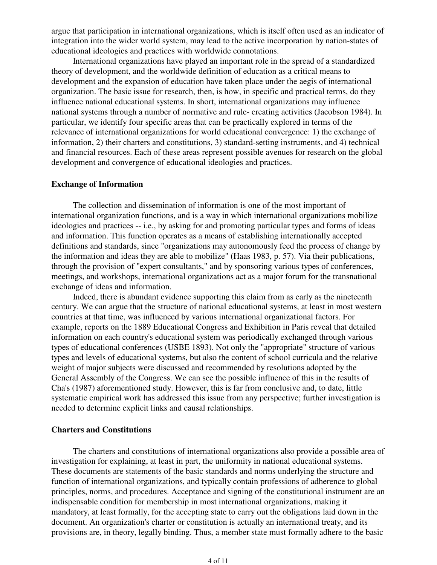argue that participation in international organizations, which is itself often used as an indicator of integration into the wider world system, may lead to the active incorporation by nation-states of educational ideologies and practices with worldwide connotations.

International organizations have played an important role in the spread of a standardized theory of development, and the worldwide definition of education as a critical means to development and the expansion of education have taken place under the aegis of international organization. The basic issue for research, then, is how, in specific and practical terms, do they influence national educational systems. In short, international organizations may influence national systems through a number of normative and rule- creating activities (Jacobson 1984). In particular, we identify four specific areas that can be practically explored in terms of the relevance of international organizations for world educational convergence: 1) the exchange of information, 2) their charters and constitutions, 3) standard-setting instruments, and 4) technical and financial resources. Each of these areas represent possible avenues for research on the global development and convergence of educational ideologies and practices.

#### **Exchange of Information**

The collection and dissemination of information is one of the most important of international organization functions, and is a way in which international organizations mobilize ideologies and practices -- i.e., by asking for and promoting particular types and forms of ideas and information. This function operates as a means of establishing internationally accepted definitions and standards, since "organizations may autonomously feed the process of change by the information and ideas they are able to mobilize" (Haas 1983, p. 57). Via their publications, through the provision of "expert consultants," and by sponsoring various types of conferences, meetings, and workshops, international organizations act as a major forum for the transnational exchange of ideas and information.

Indeed, there is abundant evidence supporting this claim from as early as the nineteenth century. We can argue that the structure of national educational systems, at least in most western countries at that time, was influenced by various international organizational factors. For example, reports on the 1889 Educational Congress and Exhibition in Paris reveal that detailed information on each country's educational system was periodically exchanged through various types of educational conferences (USBE 1893). Not only the "appropriate" structure of various types and levels of educational systems, but also the content of school curricula and the relative weight of major subjects were discussed and recommended by resolutions adopted by the General Assembly of the Congress. We can see the possible influence of this in the results of Cha's (1987) aforementioned study. However, this is far from conclusive and, to date, little systematic empirical work has addressed this issue from any perspective; further investigation is needed to determine explicit links and causal relationships.

#### **Charters and Constitutions**

The charters and constitutions of international organizations also provide a possible area of investigation for explaining, at least in part, the uniformity in national educational systems. These documents are statements of the basic standards and norms underlying the structure and function of international organizations, and typically contain professions of adherence to global principles, norms, and procedures. Acceptance and signing of the constitutional instrument are an indispensable condition for membership in most international organizations, making it mandatory, at least formally, for the accepting state to carry out the obligations laid down in the document. An organization's charter or constitution is actually an international treaty, and its provisions are, in theory, legally binding. Thus, a member state must formally adhere to the basic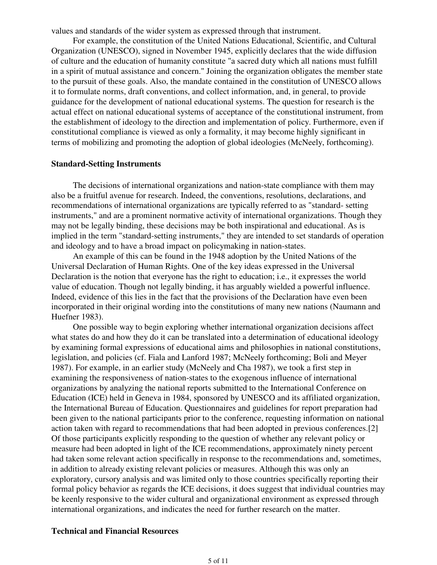values and standards of the wider system as expressed through that instrument.

For example, the constitution of the United Nations Educational, Scientific, and Cultural Organization (UNESCO), signed in November 1945, explicitly declares that the wide diffusion of culture and the education of humanity constitute "a sacred duty which all nations must fulfill in a spirit of mutual assistance and concern." Joining the organization obligates the member state to the pursuit of these goals. Also, the mandate contained in the constitution of UNESCO allows it to formulate norms, draft conventions, and collect information, and, in general, to provide guidance for the development of national educational systems. The question for research is the actual effect on national educational systems of acceptance of the constitutional instrument, from the establishment of ideology to the direction and implementation of policy. Furthermore, even if constitutional compliance is viewed as only a formality, it may become highly significant in terms of mobilizing and promoting the adoption of global ideologies (McNeely, forthcoming).

#### **Standard-Setting Instruments**

The decisions of international organizations and nation-state compliance with them may also be a fruitful avenue for research. Indeed, the conventions, resolutions, declarations, and recommendations of international organizations are typically referred to as "standard- setting instruments," and are a prominent normative activity of international organizations. Though they may not be legally binding, these decisions may be both inspirational and educational. As is implied in the term "standard-setting instruments," they are intended to set standards of operation and ideology and to have a broad impact on policymaking in nation-states.

An example of this can be found in the 1948 adoption by the United Nations of the Universal Declaration of Human Rights. One of the key ideas expressed in the Universal Declaration is the notion that everyone has the right to education; i.e., it expresses the world value of education. Though not legally binding, it has arguably wielded a powerful influence. Indeed, evidence of this lies in the fact that the provisions of the Declaration have even been incorporated in their original wording into the constitutions of many new nations (Naumann and Huefner 1983).

One possible way to begin exploring whether international organization decisions affect what states do and how they do it can be translated into a determination of educational ideology by examining formal expressions of educational aims and philosophies in national constitutions, legislation, and policies (cf. Fiala and Lanford 1987; McNeely forthcoming; Boli and Meyer 1987). For example, in an earlier study (McNeely and Cha 1987), we took a first step in examining the responsiveness of nation-states to the exogenous influence of international organizations by analyzing the national reports submitted to the International Conference on Education (ICE) held in Geneva in 1984, sponsored by UNESCO and its affiliated organization, the International Bureau of Education. Questionnaires and guidelines for report preparation had been given to the national participants prior to the conference, requesting information on national action taken with regard to recommendations that had been adopted in previous conferences.[2] Of those participants explicitly responding to the question of whether any relevant policy or measure had been adopted in light of the ICE recommendations, approximately ninety percent had taken some relevant action specifically in response to the recommendations and, sometimes, in addition to already existing relevant policies or measures. Although this was only an exploratory, cursory analysis and was limited only to those countries specifically reporting their formal policy behavior as regards the ICE decisions, it does suggest that individual countries may be keenly responsive to the wider cultural and organizational environment as expressed through international organizations, and indicates the need for further research on the matter.

### **Technical and Financial Resources**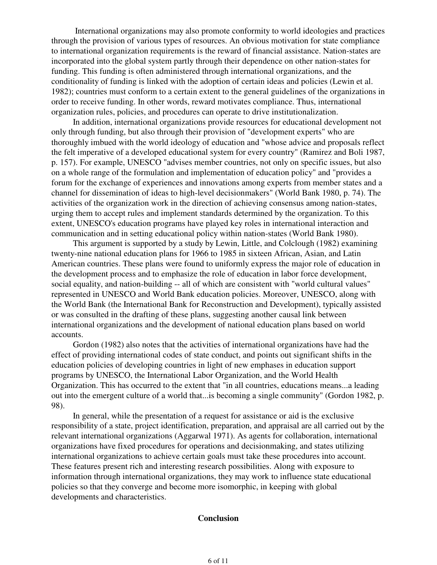International organizations may also promote conformity to world ideologies and practices through the provision of various types of resources. An obvious motivation for state compliance to international organization requirements is the reward of financial assistance. Nation-states are incorporated into the global system partly through their dependence on other nation-states for funding. This funding is often administered through international organizations, and the conditionality of funding is linked with the adoption of certain ideas and policies (Lewin et al. 1982); countries must conform to a certain extent to the general guidelines of the organizations in order to receive funding. In other words, reward motivates compliance. Thus, international organization rules, policies, and procedures can operate to drive institutionalization.

In addition, international organizations provide resources for educational development not only through funding, but also through their provision of "development experts" who are thoroughly imbued with the world ideology of education and "whose advice and proposals reflect the felt imperative of a developed educational system for every country" (Ramirez and Boli 1987, p. 157). For example, UNESCO "advises member countries, not only on specific issues, but also on a whole range of the formulation and implementation of education policy" and "provides a forum for the exchange of experiences and innovations among experts from member states and a channel for dissemination of ideas to high-level decisionmakers" (World Bank 1980, p. 74). The activities of the organization work in the direction of achieving consensus among nation-states, urging them to accept rules and implement standards determined by the organization. To this extent, UNESCO's education programs have played key roles in international interaction and communication and in setting educational policy within nation-states (World Bank 1980).

This argument is supported by a study by Lewin, Little, and Colclough (1982) examining twenty-nine national education plans for 1966 to 1985 in sixteen African, Asian, and Latin American countries. These plans were found to uniformly express the major role of education in the development process and to emphasize the role of education in labor force development, social equality, and nation-building -- all of which are consistent with "world cultural values" represented in UNESCO and World Bank education policies. Moreover, UNESCO, along with the World Bank (the International Bank for Reconstruction and Development), typically assisted or was consulted in the drafting of these plans, suggesting another causal link between international organizations and the development of national education plans based on world accounts.

Gordon (1982) also notes that the activities of international organizations have had the effect of providing international codes of state conduct, and points out significant shifts in the education policies of developing countries in light of new emphases in education support programs by UNESCO, the International Labor Organization, and the World Health Organization. This has occurred to the extent that "in all countries, educations means...a leading out into the emergent culture of a world that...is becoming a single community" (Gordon 1982, p. 98).

In general, while the presentation of a request for assistance or aid is the exclusive responsibility of a state, project identification, preparation, and appraisal are all carried out by the relevant international organizations (Aggarwal 1971). As agents for collaboration, international organizations have fixed procedures for operations and decisionmaking, and states utilizing international organizations to achieve certain goals must take these procedures into account. These features present rich and interesting research possibilities. Along with exposure to information through international organizations, they may work to influence state educational policies so that they converge and become more isomorphic, in keeping with global developments and characteristics.

#### **Conclusion**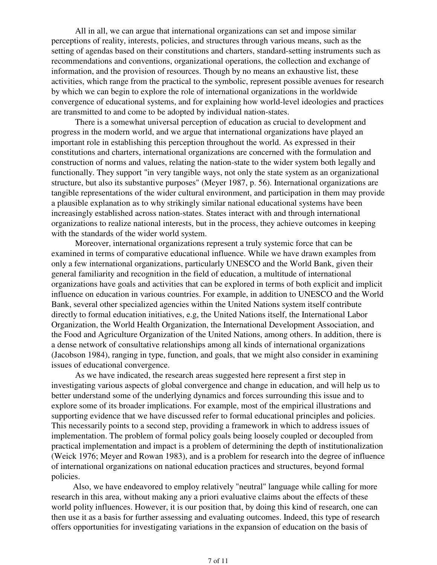All in all, we can argue that international organizations can set and impose similar perceptions of reality, interests, policies, and structures through various means, such as the setting of agendas based on their constitutions and charters, standard-setting instruments such as recommendations and conventions, organizational operations, the collection and exchange of information, and the provision of resources. Though by no means an exhaustive list, these activities, which range from the practical to the symbolic, represent possible avenues for research by which we can begin to explore the role of international organizations in the worldwide convergence of educational systems, and for explaining how world-level ideologies and practices are transmitted to and come to be adopted by individual nation-states.

 There is a somewhat universal perception of education as crucial to development and progress in the modern world, and we argue that international organizations have played an important role in establishing this perception throughout the world. As expressed in their constitutions and charters, international organizations are concerned with the formulation and construction of norms and values, relating the nation-state to the wider system both legally and functionally. They support "in very tangible ways, not only the state system as an organizational structure, but also its substantive purposes" (Meyer 1987, p. 56). International organizations are tangible representations of the wider cultural environment, and participation in them may provide a plausible explanation as to why strikingly similar national educational systems have been increasingly established across nation-states. States interact with and through international organizations to realize national interests, but in the process, they achieve outcomes in keeping with the standards of the wider world system.

 Moreover, international organizations represent a truly systemic force that can be examined in terms of comparative educational influence. While we have drawn examples from only a few international organizations, particularly UNESCO and the World Bank, given their general familiarity and recognition in the field of education, a multitude of international organizations have goals and activities that can be explored in terms of both explicit and implicit influence on education in various countries. For example, in addition to UNESCO and the World Bank, several other specialized agencies within the United Nations system itself contribute directly to formal education initiatives, e.g, the United Nations itself, the International Labor Organization, the World Health Organization, the International Development Association, and the Food and Agriculture Organization of the United Nations, among others. In addition, there is a dense network of consultative relationships among all kinds of international organizations (Jacobson 1984), ranging in type, function, and goals, that we might also consider in examining issues of educational convergence.

 As we have indicated, the research areas suggested here represent a first step in investigating various aspects of global convergence and change in education, and will help us to better understand some of the underlying dynamics and forces surrounding this issue and to explore some of its broader implications. For example, most of the empirical illustrations and supporting evidence that we have discussed refer to formal educational principles and policies. This necessarily points to a second step, providing a framework in which to address issues of implementation. The problem of formal policy goals being loosely coupled or decoupled from practical implementation and impact is a problem of determining the depth of institutionalization (Weick 1976; Meyer and Rowan 1983), and is a problem for research into the degree of influence of international organizations on national education practices and structures, beyond formal policies.

Also, we have endeavored to employ relatively "neutral" language while calling for more research in this area, without making any a priori evaluative claims about the effects of these world polity influences. However, it is our position that, by doing this kind of research, one can then use it as a basis for further assessing and evaluating outcomes. Indeed, this type of research offers opportunities for investigating variations in the expansion of education on the basis of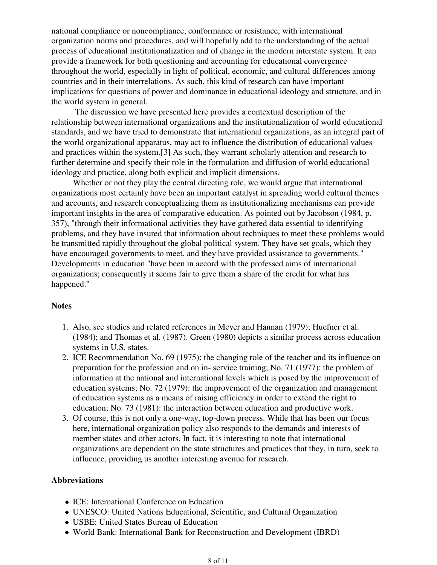national compliance or noncompliance, conformance or resistance, with international organization norms and procedures, and will hopefully add to the understanding of the actual process of educational institutionalization and of change in the modern interstate system. It can provide a framework for both questioning and accounting for educational convergence throughout the world, especially in light of political, economic, and cultural differences among countries and in their interrelations. As such, this kind of research can have important implications for questions of power and dominance in educational ideology and structure, and in the world system in general.

 The discussion we have presented here provides a contextual description of the relationship between international organizations and the institutionalization of world educational standards, and we have tried to demonstrate that international organizations, as an integral part of the world organizational apparatus, may act to influence the distribution of educational values and practices within the system.[3] As such, they warrant scholarly attention and research to further determine and specify their role in the formulation and diffusion of world educational ideology and practice, along both explicit and implicit dimensions.

Whether or not they play the central directing role, we would argue that international organizations most certainly have been an important catalyst in spreading world cultural themes and accounts, and research conceptualizing them as institutionalizing mechanisms can provide important insights in the area of comparative education. As pointed out by Jacobson (1984, p. 357), "through their informational activities they have gathered data essential to identifying problems, and they have insured that information about techniques to meet these problems would be transmitted rapidly throughout the global political system. They have set goals, which they have encouraged governments to meet, and they have provided assistance to governments." Developments in education "have been in accord with the professed aims of international organizations; consequently it seems fair to give them a share of the credit for what has happened."

## **Notes**

- Also, see studies and related references in Meyer and Hannan (1979); Huefner et al. 1. (1984); and Thomas et al. (1987). Green (1980) depicts a similar process across education systems in U.S. states.
- 2. ICE Recommendation No. 69 (1975): the changing role of the teacher and its influence on preparation for the profession and on in- service training; No. 71 (1977): the problem of information at the national and international levels which is posed by the improvement of education systems; No. 72 (1979): the improvement of the organization and management of education systems as a means of raising efficiency in order to extend the right to education; No. 73 (1981): the interaction between education and productive work.
- 3. Of course, this is not only a one-way, top-down process. While that has been our focus here, international organization policy also responds to the demands and interests of member states and other actors. In fact, it is interesting to note that international organizations are dependent on the state structures and practices that they, in turn, seek to influence, providing us another interesting avenue for research.

#### **Abbreviations**

- ICE: International Conference on Education
- UNESCO: United Nations Educational, Scientific, and Cultural Organization
- USBE: United States Bureau of Education
- World Bank: International Bank for Reconstruction and Development (IBRD)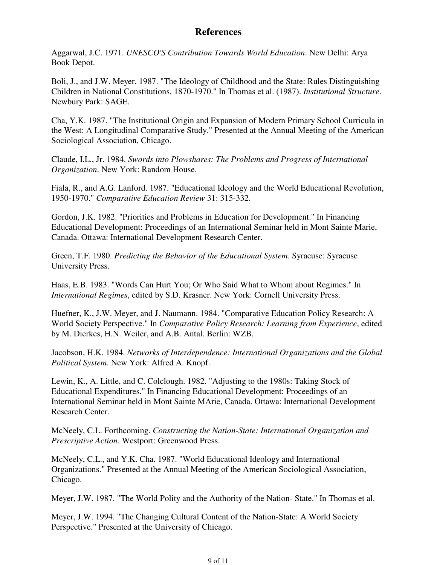# **References**

Aggarwal, J.C. 1971. *UNESCO'S Contribution Towards World Education*. New Delhi: Arya Book Depot.

Boli, J., and J.W. Meyer. 1987. "The Ideology of Childhood and the State: Rules Distinguishing Children in National Constitutions, 1870-1970." In Thomas et al. (1987). *Institutional Structure*. Newbury Park: SAGE.

Cha, Y.K. 1987. "The Institutional Origin and Expansion of Modern Primary School Curricula in the West: A Longitudinal Comparative Study." Presented at the Annual Meeting of the American Sociological Association, Chicago.

Claude, I.L., Jr. 1984. *Swords into Plowshares: The Problems and Progress of International Organization*. New York: Random House.

Fiala, R., and A.G. Lanford. 1987. "Educational Ideology and the World Educational Revolution, 1950-1970." *Comparative Education Review* 31: 315-332.

Gordon, J.K. 1982. "Priorities and Problems in Education for Development." In Financing Educational Development: Proceedings of an International Seminar held in Mont Sainte Marie, Canada. Ottawa: International Development Research Center.

Green, T.F. 1980. *Predicting the Behavior of the Educational System*. Syracuse: Syracuse University Press.

Haas, E.B. 1983. "Words Can Hurt You; Or Who Said What to Whom about Regimes." In *International Regimes*, edited by S.D. Krasner. New York: Cornell University Press.

Huefner, K., J.W. Meyer, and J. Naumann. 1984. "Comparative Education Policy Research: A World Society Perspective." In *Comparative Policy Research: Learning from Experience*, edited by M. Dierkes, H.N. Weiler, and A.B. Antal. Berlin: WZB.

Jacobson, H.K. 1984. *Networks of Interdependence: International Organizations and the Global Political System*. New York: Alfred A. Knopf.

Lewin, K., A. Little, and C. Colclough. 1982. "Adjusting to the 1980s: Taking Stock of Educational Expenditures." In Financing Educational Development: Proceedings of an International Seminar held in Mont Sainte MArie, Canada. Ottawa: International Development Research Center.

McNeely, C.L. Forthcoming. *Constructing the Nation-State: International Organization and Prescriptive Action*. Westport: Greenwood Press.

McNeely, C.L., and Y.K. Cha. 1987. "World Educational Ideology and International Organizations." Presented at the Annual Meeting of the American Sociological Association, Chicago.

Meyer, J.W. 1987. "The World Polity and the Authority of the Nation- State." In Thomas et al.

Meyer, J.W. 1994. "The Changing Cultural Content of the Nation-State: A World Society Perspective." Presented at the University of Chicago.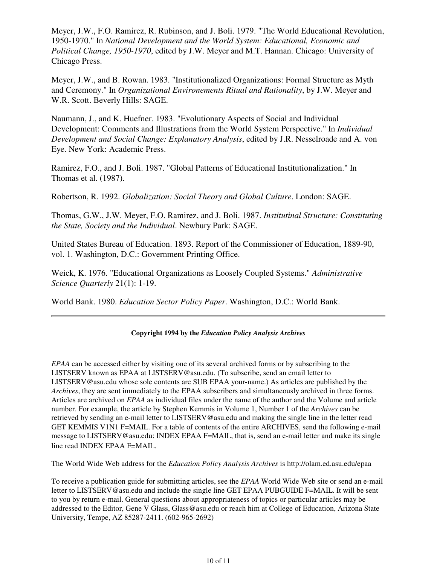Meyer, J.W., F.O. Ramirez, R. Rubinson, and J. Boli. 1979. "The World Educational Revolution, 1950-1970." In *National Development and the World System: Educational, Economic and Political Change, 1950-1970*, edited by J.W. Meyer and M.T. Hannan. Chicago: University of Chicago Press.

Meyer, J.W., and B. Rowan. 1983. "Institutionalized Organizations: Formal Structure as Myth and Ceremony." In *Organizational Environements Ritual and Rationality*, by J.W. Meyer and W.R. Scott. Beverly Hills: SAGE.

Naumann, J., and K. Huefner. 1983. "Evolutionary Aspects of Social and Individual Development: Comments and Illustrations from the World System Perspective." In *Individual Development and Social Change: Explanatory Analysis*, edited by J.R. Nesselroade and A. von Eye. New York: Academic Press.

Ramirez, F.O., and J. Boli. 1987. "Global Patterns of Educational Institutionalization." In Thomas et al. (1987).

Robertson, R. 1992. *Globalization: Social Theory and Global Culture*. London: SAGE.

Thomas, G.W., J.W. Meyer, F.O. Ramirez, and J. Boli. 1987. *Institutinal Structure: Constituting the State, Society and the Individual*. Newbury Park: SAGE.

United States Bureau of Education. 1893. Report of the Commissioner of Education, 1889-90, vol. 1. Washington, D.C.: Government Printing Office.

Weick, K. 1976. "Educational Organizations as Loosely Coupled Systems." *Administrative Science Quarterly* 21(1): 1-19.

World Bank. 1980. *Education Sector Policy Paper*. Washington, D.C.: World Bank.

#### **Copyright 1994 by the** *Education Policy Analysis Archives*

*EPAA* can be accessed either by visiting one of its several archived forms or by subscribing to the LISTSERV known as EPAA at LISTSERV@asu.edu. (To subscribe, send an email letter to LISTSERV@asu.edu whose sole contents are SUB EPAA your-name.) As articles are published by the *Archives*, they are sent immediately to the EPAA subscribers and simultaneously archived in three forms. Articles are archived on *EPAA* as individual files under the name of the author and the Volume and article number. For example, the article by Stephen Kemmis in Volume 1, Number 1 of the *Archives* can be retrieved by sending an e-mail letter to LISTSERV@asu.edu and making the single line in the letter read GET KEMMIS V1N1 F=MAIL. For a table of contents of the entire ARCHIVES, send the following e-mail message to LISTSERV@asu.edu: INDEX EPAA F=MAIL, that is, send an e-mail letter and make its single line read INDEX EPAA F=MAIL.

The World Wide Web address for the *Education Policy Analysis Archives* is http://olam.ed.asu.edu/epaa

To receive a publication guide for submitting articles, see the *EPAA* World Wide Web site or send an e-mail letter to LISTSERV@asu.edu and include the single line GET EPAA PUBGUIDE F=MAIL. It will be sent to you by return e-mail. General questions about appropriateness of topics or particular articles may be addressed to the Editor, Gene V Glass, Glass@asu.edu or reach him at College of Education, Arizona State University, Tempe, AZ 85287-2411. (602-965-2692)